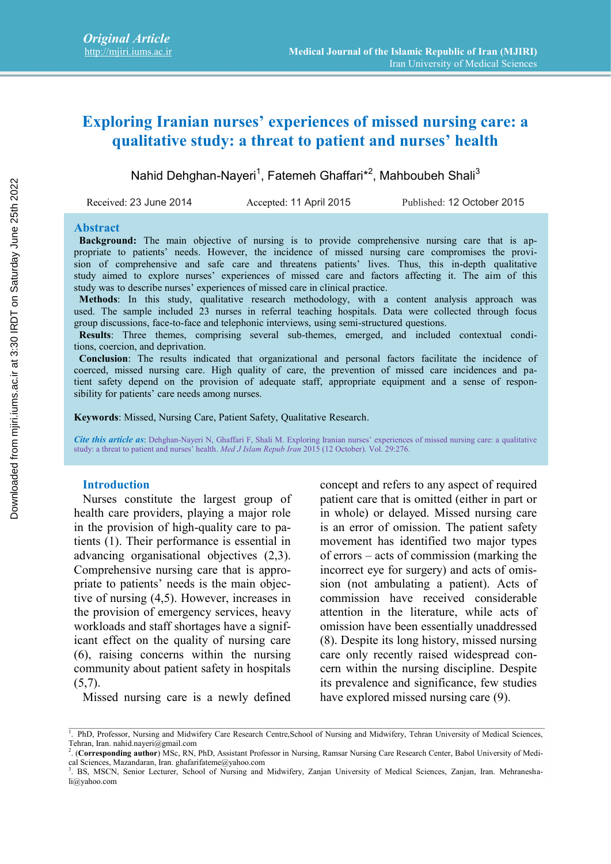# **Exploring Iranian nurses' experiences of missed nursing care: a qualitative study: a threat to patient and nurses' health**

Nahid Dehghan-Nayeri<sup>1</sup>, Fatemeh Ghaffari\*<sup>2</sup>, Mahboubeh Shali<sup>3</sup>

Received: 23 June 2014 Accepted: 11 April 2015 Published: 12 October 2015

**Abstract**

**Background:** The main objective of nursing is to provide comprehensive nursing care that is appropriate to patients' needs. However, the incidence of missed nursing care compromises the provision of comprehensive and safe care and threatens patients' lives. Thus, this in-depth qualitative study aimed to explore nurses' experiences of missed care and factors affecting it. The aim of this study was to describe nurses' experiences of missed care in clinical practice.

**Methods**: In this study, qualitative research methodology, with a content analysis approach was used. The sample included 23 nurses in referral teaching hospitals. Data were collected through focus group discussions, face-to-face and telephonic interviews, using semi-structured questions.

**Results**: Three themes, comprising several sub-themes, emerged, and included contextual conditions, coercion, and deprivation.

**Conclusion**: The results indicated that organizational and personal factors facilitate the incidence of coerced, missed nursing care. High quality of care, the prevention of missed care incidences and patient safety depend on the provision of adequate staff, appropriate equipment and a sense of responsibility for patients' care needs among nurses.

**Keywords**: Missed, Nursing Care, Patient Safety, Qualitative Research.

*Cite this article as*: Dehghan-Nayeri N, Ghaffari F, Shali M. Exploring Iranian nurses' experiences of missed nursing care: a qualitative study: a threat to patient and nurses' health. *Med J Islam Repub Iran* 2015 (12 October). Vol. 29:276.

#### **Introduction**

Nurses constitute the largest group of health care providers, playing a major role in the provision of high-quality care to patients (1). Their performance is essential in advancing organisational objectives (2,3). Comprehensive nursing care that is appropriate to patients' needs is the main objective of nursing (4,5). However, increases in the provision of emergency services, heavy workloads and staff shortages have a significant effect on the quality of nursing care (6), raising concerns within the nursing community about patient safety in hospitals  $(5,7)$ .

Missed nursing care is a newly defined have explored missed nursing care (9).

concept and refers to any aspect of required patient care that is omitted (either in part or in whole) or delayed. Missed nursing care is an error of omission. The patient safety movement has identified two major types of errors – acts of commission (marking the incorrect eye for surgery) and acts of omission (not ambulating a patient). Acts of commission have received considerable attention in the literature, while acts of omission have been essentially unaddressed (8). Despite its long history, missed nursing care only recently raised widespread concern within the nursing discipline. Despite its prevalence and significance, few studies Received 23 June 2014<br>
Received missed nursing is to provide comprehensive missing care that is a<br>propriate to paised: "Hole and the missed nursing care comprehensive missing care that is a medicine of missed nursing care

<sup>&</sup>lt;sup>1</sup>. PhD, Professor, Nursing and Midwifery Care Research Centre, School of Nursing and Midwifery, Tehran University of Medical Sciences, Tehran, Iran. nahid.nayeri@gmail.com

<sup>2</sup> . (**Corresponding author**) MSc, RN, PhD, Assistant Professor in Nursing, Ramsar Nursing Care Research Center, Babol University of Medical Sciences, Mazandaran, Iran. ghafarifateme@yahoo.com

<sup>3</sup> . BS, MSCN, Senior Lecturer, School of Nursing and Midwifery, Zanjan University of Medical Sciences, Zanjan, Iran. Mehraneshali@yahoo.com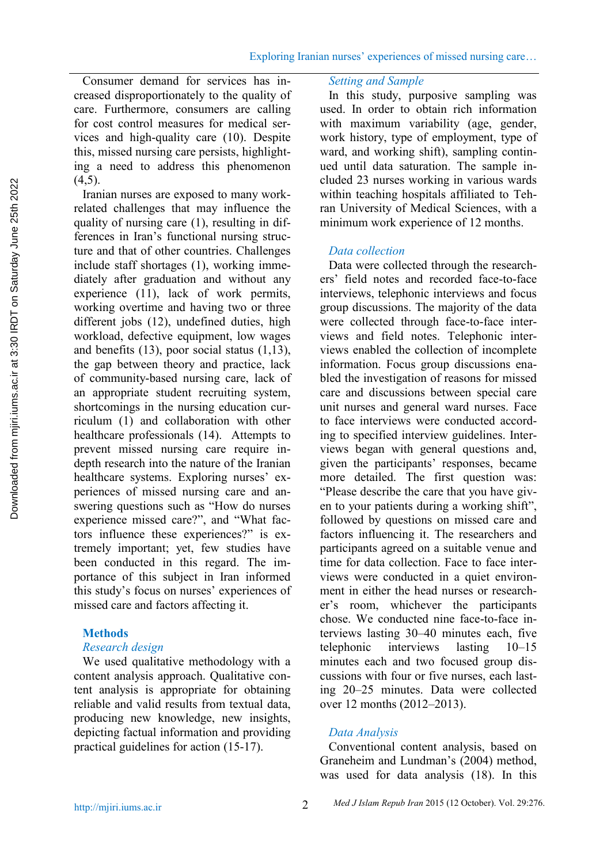Consumer demand for services has increased disproportionately to the quality of care. Furthermore, consumers are calling for cost control measures for medical services and high-quality care (10). Despite this, missed nursing care persists, highlighting a need to address this phenomenon  $(4.5)$ .

Iranian nurses are exposed to many workrelated challenges that may influence the quality of nursing care (1), resulting in differences in Iran's functional nursing structure and that of other countries. Challenges include staff shortages (1), working immediately after graduation and without any experience (11), lack of work permits, working overtime and having two or three different jobs (12), undefined duties, high workload, defective equipment, low wages and benefits (13), poor social status (1,13), the gap between theory and practice, lack of community-based nursing care, lack of an appropriate student recruiting system, shortcomings in the nursing education curriculum (1) and collaboration with other healthcare professionals (14). Attempts to prevent missed nursing care require in depth research into the nature of the Iranian healthcare systems. Exploring nurses' experiences of missed nursing care and answering questions such as "How do nurses e experience missed care?", and "What factors influence these experiences?" is extremely important; yet, few studies have been conducted in this regard. The importance of this subject in Iran informed this study's focus on nurses' experiences of missed care and factors affecting it.

# **Methods**

# *Research design*

We used qualitative methodology with a content analysis approach. Qualitative content analysis is appropriate for obtaining reliable and valid results from textual data, producing new knowledge, new insights, depicting factual information and providing practical guidelines for action (15-17).

# *Setting and Sample*

In this study, purposive sampling was used. In order to obtain rich information with maximum variability (age, gender, work history, type of employment, type of ward, and working shift), sampling continued until data saturation. The sample included 23 nurses working in various wards within teaching hospitals affiliated to Tehran University of Medical Sciences, with a minimum work experience of 12 months.

# *Data collection*

Data were collected through the researchers' field notes and recorded face-to-face interviews, telephonic interviews and focus group discussions. The majority of the data were collected through face-to-face interviews and field notes. Telephonic interviews enabled the collection of incomplete information. Focus group discussions enabled the investigation of reasons for missed care and discussions between special care unit nurses and general ward nurses. Face to face interviews were conducted according to specified interview guidelines. Interviews began with general questions and, given the participants' responses, became more detailed. The first question was: "Please describe the care that you have given to your patients during a working shift", followed by questions on missed care and factors influencing it. The researchers and participants agreed on a suitable venue and time for data collection. Face to face interviews were conducted in a quiet environment in either the head nurses or researcher's room, whichever the participants chose. We conducted nine face-to-face interviews lasting 30–40 minutes each, five telephonic interviews lasting 10–15 minutes each and two focused group discussions with four or five nurses, each lasting 20–25 minutes. Data were collected over 12 months (2012–2013).

# *Data Analysis*

Conventional content analysis, based on Graneheim and Lundman's (2004) method, was used for data analysis (18). In this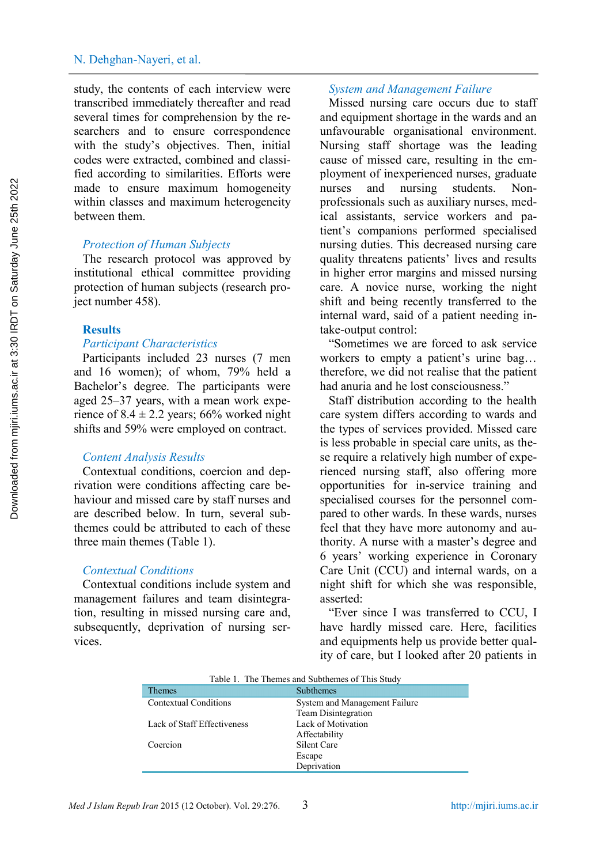study, the contents of each interview were transcribed immediately thereafter and read several times for comprehension by the researchers and to ensure correspondence with the study's objectives. Then, initial codes were extracted, combined and classified according to similarities. Efforts were made to ensure maximum homogeneity nurses within classes and maximum heterogeneity between them.

# *Protection of Human Subjects*

The research protocol was approved by institutional ethical committee providing protection of human subjects (research project number 458).

### **Results**

#### *Participant Characteristics*

Participants included 23 nurses (7 men and 16 women); of whom, 79% held a Bachelor's degree. The participants were aged 25–37 years, with a mean work experience of  $8.4 \pm 2.2$  years; 66% worked night shifts and 59% were employed on contract.

# *Content Analysis Results*

Contextual conditions, coercion and deprivation were conditions affecting care behaviour and missed care by staff nurses and are described below. In turn, several subthemes could be attributed to each of these three main themes (Table 1).

### *Contextual Conditions*

Contextual conditions include system and management failures and team disintegration, resulting in missed nursing care and, subsequently, deprivation of nursing services.

### *System and Management Failure*

Missed nursing care occurs due to staff and equipment shortage in the wards and an unfavourable organisational environment. Nursing staff shortage was the leading cause of missed care, resulting in the employment of inexperienced nurses, graduate and nursing students. Nonprofessionals such as auxiliary nurses, medical assistants, service workers and patient's companions performed specialised nursing duties. This decreased nursing care quality threatens patients' lives and results in higher error margins and missed nursing care. A novice nurse, working the night shift and being recently transferred to the internal ward, said of a patient needing intake-output control:

"Sometimes we are forced to ask service workers to empty a patient's urine bag… therefore, we did not realise that the patient had anuria and he lost consciousness."

Staff distribution according to the health care system differs according to wards and the types of services provided. Missed care is less probable in special care units, as these require a relatively high number of experienced nursing staff, also offering more opportunities for in-service training and specialised courses for the personnel compared to other wards. In these wards, nurses feel that they have more autonomy and authority. A nurse with a master's degree and 6 years' working experience in Coronary Care Unit (CCU) and internal wards, on a night shift for which she was responsible, asserted:

"Ever since I was transferred to CCU, I have hardly missed care. Here, facilities and equipments help us provide better quality of care, but I looked after 20 patients in

| Table 1. The Themes and Subthemes of This Study |                               |
|-------------------------------------------------|-------------------------------|
| <b>Themes</b>                                   | <b>Subthemes</b>              |
| <b>Contextual Conditions</b>                    | System and Management Failure |
|                                                 | Team Disintegration           |
| Lack of Staff Effectiveness                     | Lack of Motivation            |
|                                                 | Affectability                 |
| Coercion                                        | Silent Care                   |
|                                                 | Escape                        |
|                                                 | Deprivation                   |

Table 1. The Themes and Subthemes of This Study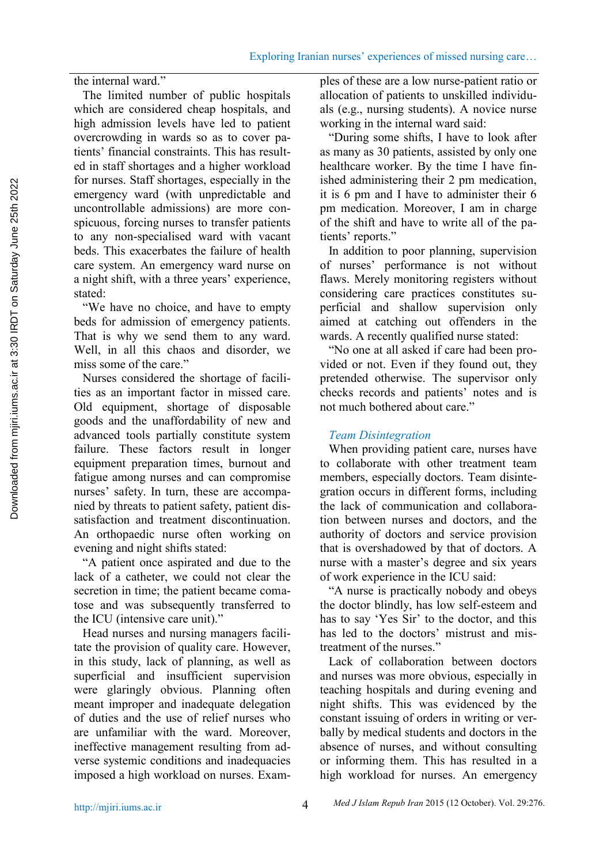the internal ward."

The limited number of public hospitals which are considered cheap hospitals, and high admission levels have led to patient overcrowding in wards so as to cover patients' financial constraints. This has resulted in staff shortages and a higher workload for nurses. Staff shortages, especially in the emergency ward (with unpredictable and uncontrollable admissions) are more conspicuous, forcing nurses to transfer patients to any non-specialised ward with vacant beds. This exacerbates the failure of health care system. An emergency ward nurse on a night shift, with a three years' experience, stated:

"We have no choice, and have to empty beds for admission of emergency patients. That is why we send them to any ward. Well, in all this chaos and disorder, we miss some of the care."

Nurses considered the shortage of facilities as an important factor in missed care. Old equipment, shortage of disposable goods and the unaffordability of new and advanced tools partially constitute system failure. These factors result in longer equipment preparation times, burnout and fatigue among nurses and can compromise nurses' safety. In turn, these are accompanied by threats to patient safety, patient dissatisfaction and treatment discontinuation. An orthopaedic nurse often working on evening and night shifts stated:

"A patient once aspirated and due to the lack of a catheter, we could not clear the secretion in time; the patient became comatose and was subsequently transferred to the ICU (intensive care unit)."

Head nurses and nursing managers facilitate the provision of quality care. However, in this study, lack of planning, as well as superficial and insufficient supervision were glaringly obvious. Planning often meant improper and inadequate delegation of duties and the use of relief nurses who are unfamiliar with the ward. Moreover, ineffective management resulting from adverse systemic conditions and inadequacies imposed a high workload on nurses. Examples of these are a low nurse-patient ratio or allocation of patients to unskilled individuals (e.g., nursing students). A novice nurse working in the internal ward said:

"During some shifts, I have to look after as many as 30 patients, assisted by only one healthcare worker. By the time I have finished administering their 2 pm medication, it is 6 pm and I have to administer their 6 pm medication. Moreover, I am in charge of the shift and have to write all of the patients' reports."

In addition to poor planning, supervision of nurses' performance is not without flaws. Merely monitoring registers without considering care practices constitutes superficial and shallow supervision only aimed at catching out offenders in the wards. A recently qualified nurse stated:

"No one at all asked if care had been provided or not. Even if they found out, they pretended otherwise. The supervisor only checks records and patients' notes and is not much bothered about care."

# *Team Disintegration*

When providing patient care, nurses have to collaborate with other treatment team members, especially doctors. Team disintegration occurs in different forms, including the lack of communication and collaboration between nurses and doctors, and the authority of doctors and service provision that is overshadowed by that of doctors. A nurse with a master's degree and six years of work experience in the ICU said:

"A nurse is practically nobody and obeys the doctor blindly, has low self-esteem and has to say 'Yes Sir' to the doctor, and this has led to the doctors' mistrust and mistreatment of the nurses."

Lack of collaboration between doctors and nurses was more obvious, especially in teaching hospitals and during evening and night shifts. This was evidenced by the constant issuing of orders in writing or verbally by medical students and doctors in the absence of nurses, and without consulting or informing them. This has resulted in a high workload for nurses. An emergency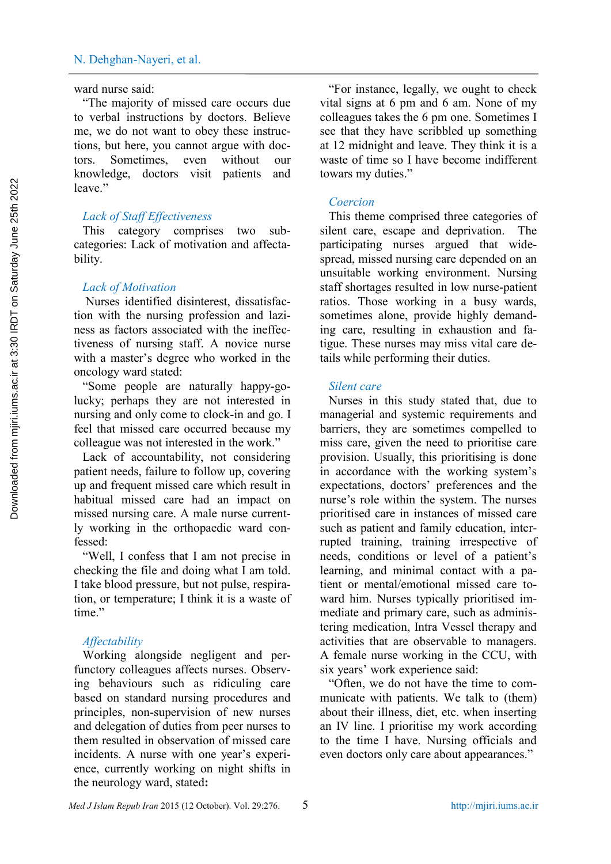#### ward nurse said:

"The majority of missed care occurs due to verbal instructions by doctors. Believe me, we do not want to obey these instructions, but here, you cannot argue with doctors. Sometimes, even without our knowledge, doctors visit patients and leave"

# *Lack of Staff Effectiveness*

This category comprises two sub categories: Lack of motivation and affectability.

# *Lack of Motivation*

Nurses identified disinterest, dissatisfaction with the nursing profession and laziness as factors associated with the ineffectiveness of nursing staff. A novice nurse with a master's degree who worked in the oncology ward stated:

"Some people are naturally happy-golucky; perhaps they are not interested in nursing and only come to clock-in and go. I feel that missed care occurred because my colleague was not interested in the work."

Lack of accountability, not considering patient needs, failure to follow up, covering up and frequent missed care which result in habitual missed care had an impact on missed nursing care. A male nurse currently working in the orthopaedic ward confessed:

"Well, I confess that I am not precise in checking the file and doing what I am told. I take blood pressure, but not pulse, respiration, or temperature; I think it is a waste of time."

### *Affectability*

Working alongside negligent and perfunctory colleagues affects nurses. Observing behaviours such as ridiculing care based on standard nursing procedures and principles, non-supervision of new nurses and delegation of duties from peer nurses to them resulted in observation of missed care incidents. A nurse with one year's experience, currently working on night shifts in the neurology ward, stated**:**

"For instance, legally, we ought to check vital signs at 6 pm and 6 am. None of my colleagues takes the 6 pm one. Sometimes I see that they have scribbled up something at 12 midnight and leave. They think it is a waste of time so I have become indifferent towars my duties."

# *Coercion*

This theme comprised three categories of silent care, escape and deprivation. The participating nurses argued that widespread, missed nursing care depended on an unsuitable working environment. Nursing staff shortages resulted in low nurse-patient ratios. Those working in a busy wards, sometimes alone, provide highly demanding care, resulting in exhaustion and fatigue. These nurses may miss vital care details while performing their duties.

# *Silent care*

Nurses in this study stated that, due to managerial and systemic requirements and barriers, they are sometimes compelled to miss care, given the need to prioritise care provision. Usually, this prioritising is done in accordance with the working system's expectations, doctors' preferences and the nurse's role within the system. The nurses prioritised care in instances of missed care such as patient and family education, interrupted training, training irrespective of needs, conditions or level of a patient's learning, and minimal contact with a patient or mental/emotional missed care toward him. Nurses typically prioritised immediate and primary care, such as administering medication, Intra Vessel therapy and activities that are observable to managers. A female nurse working in the CCU, with six years' work experience said:

"Often, we do not have the time to communicate with patients. We talk to (them) about their illness, diet, etc. when inserting an IV line. I prioritise my work according to the time I have. Nursing officials and even doctors only care about appearances."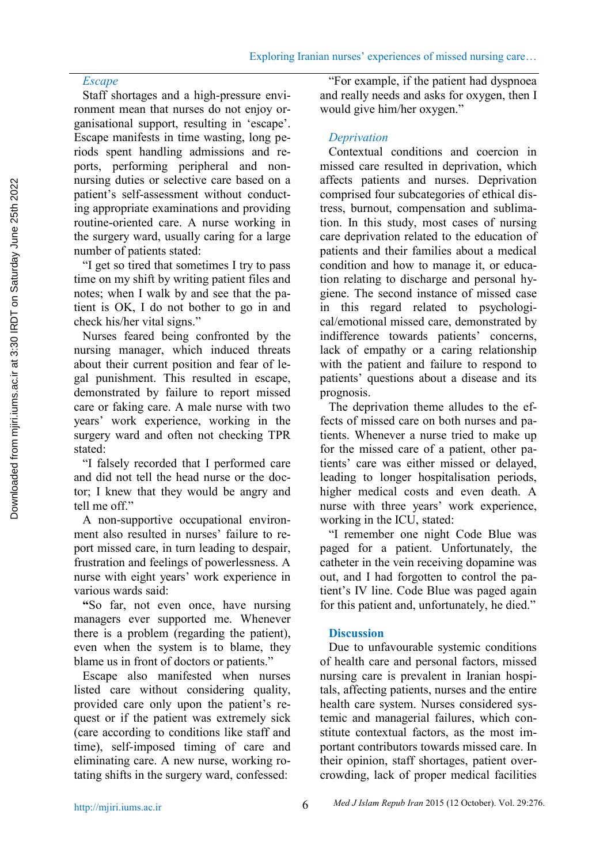# *Escape*

Staff shortages and a high-pressure environment mean that nurses do not enjoy organisational support, resulting in 'escape'. Escape manifests in time wasting, long periods spent handling admissions and reports, performing peripheral and non nursing duties or selective care based on a patient's self-assessment without conducting appropriate examinations and providing routine-oriented care. A nurse working in the surgery ward, usually caring for a large number of patients stated:

"I get so tired that sometimes I try to pass time on my shift by writing patient files and notes; when I walk by and see that the patient is OK, I do not bother to go in and check his/her vital signs."

Nurses feared being confronted by the nursing manager, which induced threats about their current position and fear of legal punishment. This resulted in escape, demonstrated by failure to report missed care or faking care. A male nurse with two years' work experience, working in the surgery ward and often not checking TPR stated:

"I falsely recorded that I performed care and did not tell the head nurse or the doctor; I knew that they would be angry and tell me off."

A non-supportive occupational environment also resulted in nurses' failure to report missed care, in turn leading to despair, frustration and feelings of powerlessness. A nurse with eight years' work experience in various wards said:

**"**So far, not even once, have nursing managers ever supported me. Whenever there is a problem (regarding the patient), even when the system is to blame, they blame us in front of doctors or patients."

Escape also manifested when nurses listed care without considering quality, provided care only upon the patient's request or if the patient was extremely sick (care according to conditions like staff and time), self-imposed timing of care and eliminating care. A new nurse, working rotating shifts in the surgery ward, confessed:

"For example, if the patient had dyspnoea and really needs and asks for oxygen, then I would give him/her oxygen."

# *Deprivation*

Contextual conditions and coercion in missed care resulted in deprivation, which affects patients and nurses. Deprivation comprised four subcategories of ethical distress, burnout, compensation and sublimation. In this study, most cases of nursing care deprivation related to the education of patients and their families about a medical condition and how to manage it, or education relating to discharge and personal hygiene. The second instance of missed case in this regard related to psychological/emotional missed care, demonstrated by indifference towards patients' concerns, lack of empathy or a caring relationship with the patient and failure to respond to patients' questions about a disease and its prognosis.

The deprivation theme alludes to the effects of missed care on both nurses and patients. Whenever a nurse tried to make up for the missed care of a patient, other patients' care was either missed or delayed, leading to longer hospitalisation periods, higher medical costs and even death. A nurse with three years' work experience, working in the ICU, stated:

"I remember one night Code Blue was paged for a patient. Unfortunately, the catheter in the vein receiving dopamine was out, and I had forgotten to control the patient's IV line. Code Blue was paged again for this patient and, unfortunately, he died."

# **Discussion**

Due to unfavourable systemic conditions of health care and personal factors, missed nursing care is prevalent in Iranian hospitals, affecting patients, nurses and the entire health care system. Nurses considered systemic and managerial failures, which constitute contextual factors, as the most important contributors towards missed care. In their opinion, staff shortages, patient overcrowding, lack of proper medical facilities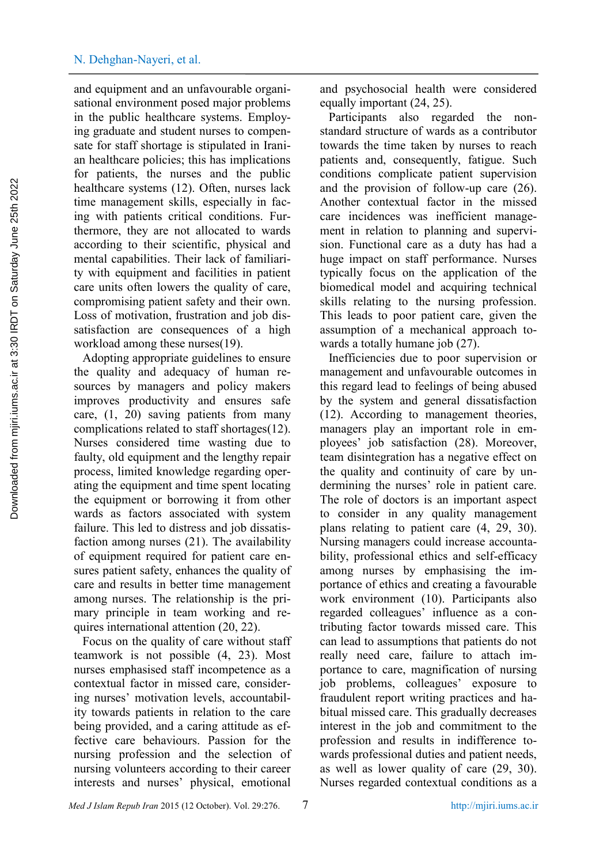and equipment and an unfavourable organisational environment posed major problems in the public healthcare systems. Employing graduate and student nurses to compensate for staff shortage is stipulated in Iranian healthcare policies; this has implications for patients, the nurses and the public healthcare systems (12). Often, nurses lack time management skills, especially in facing with patients critical conditions. Furthermore, they are not allocated to wards according to their scientific, physical and mental capabilities. Their lack of familiarity with equipment and facilities in patient care units often lowers the quality of care, compromising patient safety and their own. Loss of motivation, frustration and job dissatisfaction are consequences of a high workload among these nurses(19).

Adopting appropriate guidelines to ensure the quality and adequacy of human resources by managers and policy makers improves productivity and ensures safe care, (1, 20) saving patients from many complications related to staff shortages(12). Nurses considered time wasting due to faulty, old equipment and the lengthy repair process, limited knowledge regarding operating the equipment and time spent locating the equipment or borrowing it from other wards as factors associated with system failure. This led to distress and job dissatisfaction among nurses (21). The availability of equipment required for patient care ensures patient safety, enhances the quality of care and results in better time management among nurses. The relationship is the primary principle in team working and requires international attention (20,22).

Focus on the quality of care without staff teamwork is not possible (4, 23). Most nurses emphasised staff incompetence as a contextual factor in missed care, considering nurses' motivation levels, accountability towards patients in relation to the care being provided, and a caring attitude as effective care behaviours. Passion for the nursing profession and the selection of nursing volunteers according to their career interests and nurses' physical, emotional and psychosocial health were considered equally important (24, 25).

Participants also regarded the non standard structure of wards as a contributor towards the time taken by nurses to reach patients and, consequently, fatigue. Such conditions complicate patient supervision and the provision of follow-up care (26). Another contextual factor in the missed care incidences was inefficient management in relation to planning and supervision. Functional care as a duty has had a huge impact on staff performance. Nurses typically focus on the application of the biomedical model and acquiring technical skills relating to the nursing profession. This leads to poor patient care, given the assumption of a mechanical approach towards a totally humane job (27).

Inefficiencies due to poor supervision or management and unfavourable outcomes in this regard lead to feelings of being abused by the system and general dissatisfaction (12). According to management theories, managers play an important role in employees' job satisfaction (28). Moreover, team disintegration has a negative effect on the quality and continuity of care by undermining the nurses' role in patient care. The role of doctors is an important aspect to consider in any quality management plans relating to patient care (4, 29, 30). Nursing managers could increase accountability, professional ethics and self-efficacy among nurses by emphasising the importance of ethics and creating a favourable work environment (10). Participants also regarded colleagues' influence as a contributing factor towards missed care. This can lead to assumptions that patients do not really need care, failure to attach importance to care, magnification of nursing job problems, colleagues' exposure to fraudulent report writing practices and habitual missed care. This gradually decreases interest in the job and commitment to the profession and results in indifference towards professional duties and patient needs, as well as lower quality of care (29, 30). Nurses regarded contextual conditions as a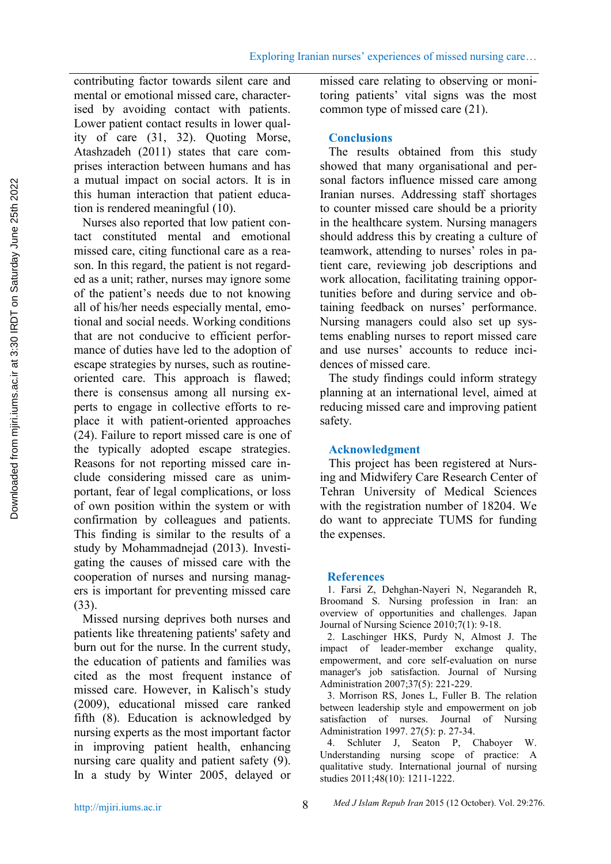contributing factor towards silent care and mental or emotional missed care, characterised by avoiding contact with patients. Lower patient contact results in lower quality of care (31, 32). Quoting Morse, Atashzadeh (2011) states that care comprises interaction between humans and has a mutual impact on social actors. It is in this human interaction that patient education is rendered meaningful (10).

Nurses also reported that low patient contact constituted mental and emotional missed care, citing functional care as a reason. In this regard, the patient is not regarded as a unit; rather, nurses may ignore some of the patient's needs due to not knowing all of his/her needs especially mental, emotional and social needs. Working conditions that are not conducive to efficient performance of duties have led to the adoption of escape strategies by nurses, such as routine oriented care. This approach is flawed; there is consensus among all nursing experts to engage in collective efforts to replace it with patient-oriented approaches (24). Failure to report missed care is one of the typically adopted escape strategies. Reasons for not reporting missed care include considering missed care as unimportant, fear of legal complications, or loss of own position within the system or with confirmation by colleagues and patients. This finding is similar to the results of a study by Mohammadnejad (2013). Investigating the causes of missed care with the cooperation of nurses and nursing managers is important for preventing missed care (33).

Missed nursing deprives both nurses and patients like threatening patients' safety and burn out for the nurse. In the current study, the education of patients and families was cited as the most frequent instance of missed care. However, in Kalisch's study (2009), educational missed care ranked fifth (8). Education is acknowledged by nursing experts as the most important factor in improving patient health, enhancing nursing care quality and patient safety (9). In a study by Winter 2005, delayed or

missed care relating to observing or monitoring patients' vital signs was the most common type of missed care (21).

# **Conclusions**

The results obtained from this study showed that many organisational and personal factors influence missed care among Iranian nurses. Addressing staff shortages to counter missed care should be a priority in the healthcare system. Nursing managers should address this by creating a culture of teamwork, attending to nurses' roles in patient care, reviewing job descriptions and work allocation, facilitating training opportunities before and during service and obtaining feedback on nurses' performance. Nursing managers could also set up systems enabling nurses to report missed care and use nurses' accounts to reduce incidences of missed care.

The study findings could inform strategy planning at an international level, aimed at reducing missed care and improving patient safety.

# **Acknowledgment**

This project has been registered at Nursing and Midwifery Care Research Center of Tehran University of Medical Sciences with the registration number of 18204. We do want to appreciate TUMS for funding the expenses.

# **References**

1. Farsi Z, Dehghan-Nayeri N, Negarandeh R, Broomand S. Nursing profession in Iran: an overview of opportunities and challenges. Japan Journal of Nursing Science 2010;7(1): 9-18.

2. Laschinger HKS, Purdy N, Almost J. The impact of leader-member exchange quality, empowerment, and core self-evaluation on nurse manager's job satisfaction. Journal of Nursing Administration 2007;37(5): 221-229.

3. Morrison RS, Jones L, Fuller B. The relation between leadership style and empowerment on job satisfaction of nurses. Journal of Nursing Administration 1997. 27(5): p. 27-34.

4. Schluter J, Seaton P, Chaboyer W. Understanding nursing scope of practice: A qualitative study. International journal of nursing studies 2011;48(10): 1211-1222.